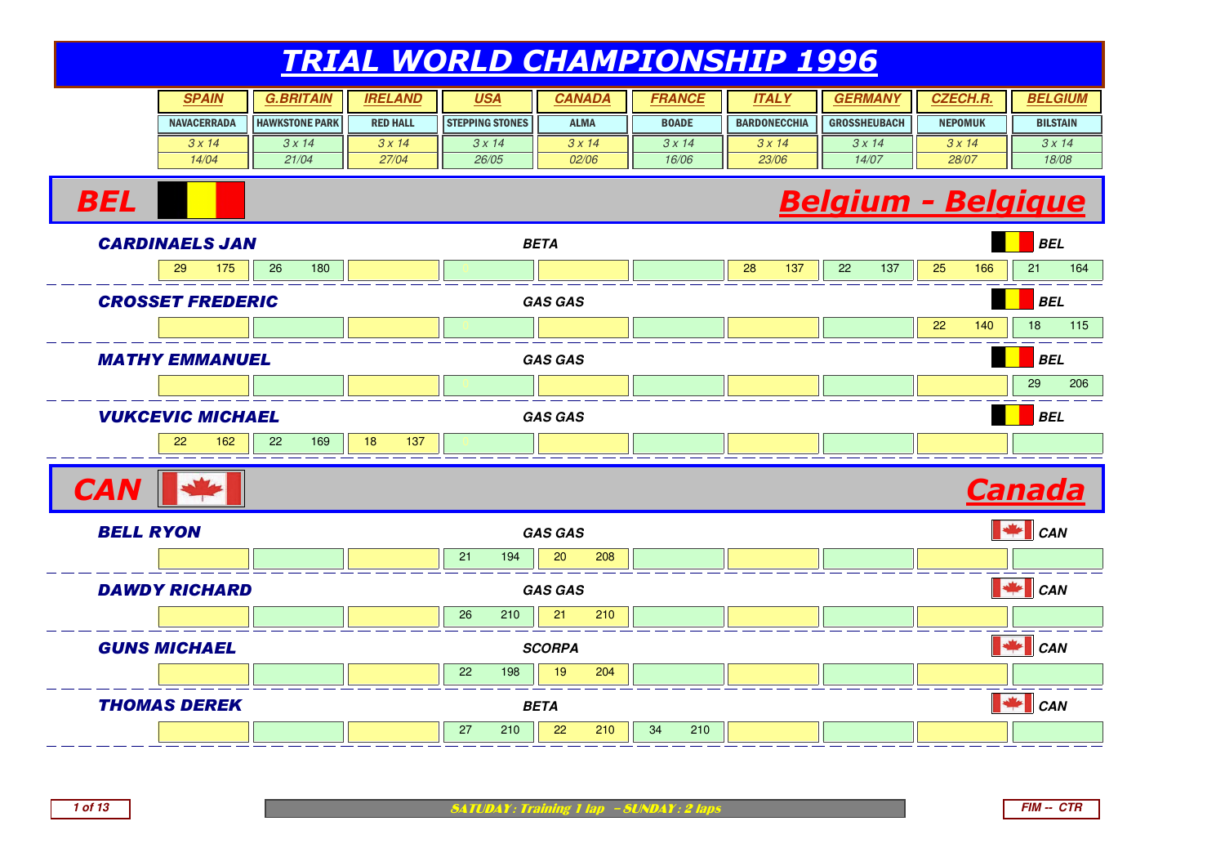| <b>SPAIN</b>       | G.BRITAIN             | <b>IRELAND</b>  | <u>USA</u>             | CANADA      | <b>FRANCE</b> | <b>ITAL</b>         | <b>GERMA</b>        | <b>CZECH.R.</b> | <b>BELGIUM</b>  |
|--------------------|-----------------------|-----------------|------------------------|-------------|---------------|---------------------|---------------------|-----------------|-----------------|
| <b>NAVACERRADA</b> | <b>HAWKSTONE PARK</b> | <b>RED HALL</b> | <b>STEPPING STONES</b> | <b>ALMA</b> | <b>BOADE</b>  | <b>BARDONECCHIA</b> | <b>GROSSHEUBACH</b> | <b>NEPOMUK</b>  | <b>BILSTAIN</b> |
| 3x14               | 3x14                  | 3x14            | 3x14                   | 3 x 14      | 3x14          | 3x14                | 3x14                | 3 x 14          | 3x14            |
| 14/04              | 21/04                 | 27/04           | 26/05                  | 02/06       | 16/06         | 23/06               | 14/07               | 28/07           | 18/08           |

#### Belgium - Belgique



**1 of 13**

**BEL**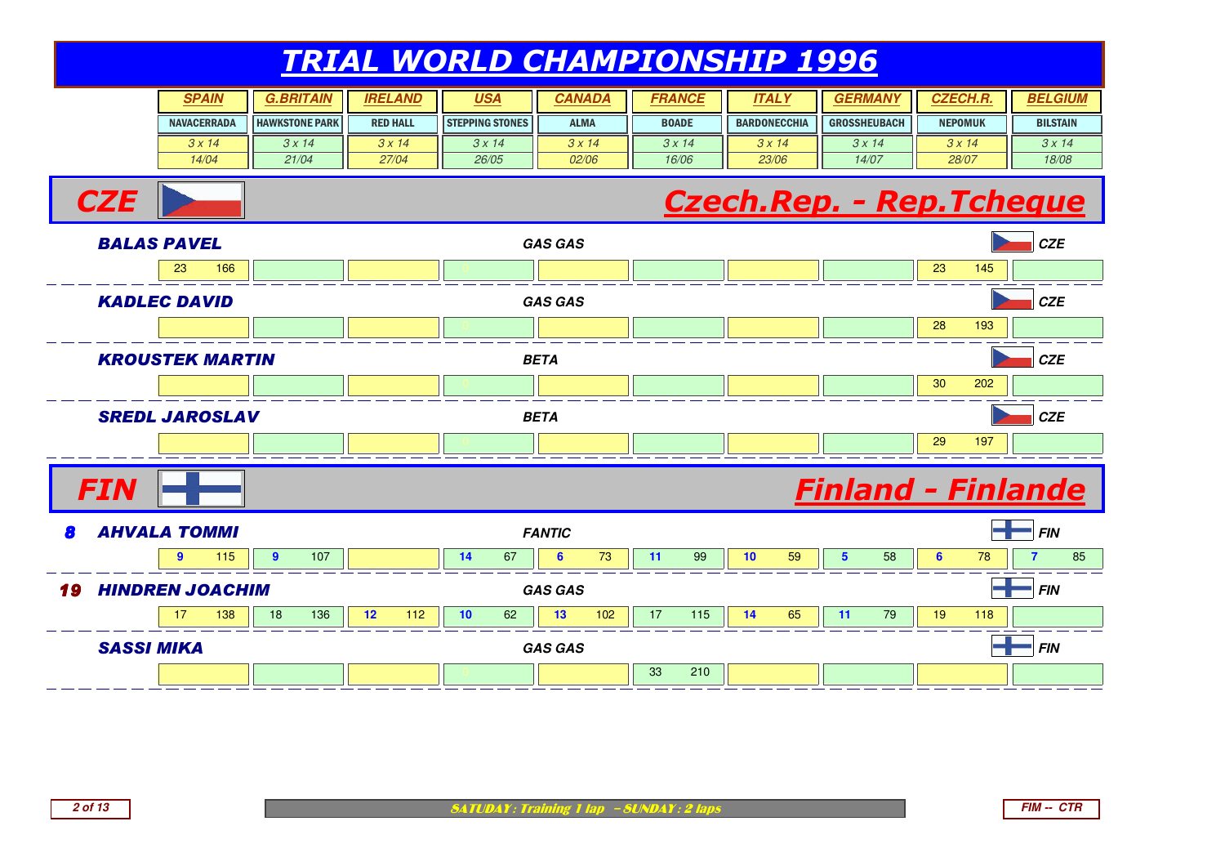| <b>SPAIN</b>       | G.BRITAIN             | <b>IRELAND</b>  | <u>USA</u>             | CANADA      | FRANCE       | ITAL Y              | <b>GERMAN</b>       | <b>CZECH.R.</b> | <b>BELGIUM</b>  |
|--------------------|-----------------------|-----------------|------------------------|-------------|--------------|---------------------|---------------------|-----------------|-----------------|
| <b>NAVACERRADA</b> | <b>HAWKSTONE PARK</b> | <b>RED HALL</b> | <b>STEPPING STONES</b> | <b>ALMA</b> | <b>BOADE</b> | <b>BARDONECCHIA</b> | <b>GROSSHEUBACH</b> | <b>NEPOMUK</b>  | <b>BILSTAIN</b> |
| 3x14               | 3 x 14                | 3x14            | 3x14                   | 3x14        | 3x14         | 3x14                | 3x14                | 3x14            | 3x14            |
| 14/04              | 21/04                 | 27/04           | 26/05                  | 02/06       | 16/06        | 23/06               | 14/07               | 28/07           | 18/08           |

#### Czech.Rep. - Rep.Tcheque



**CZE**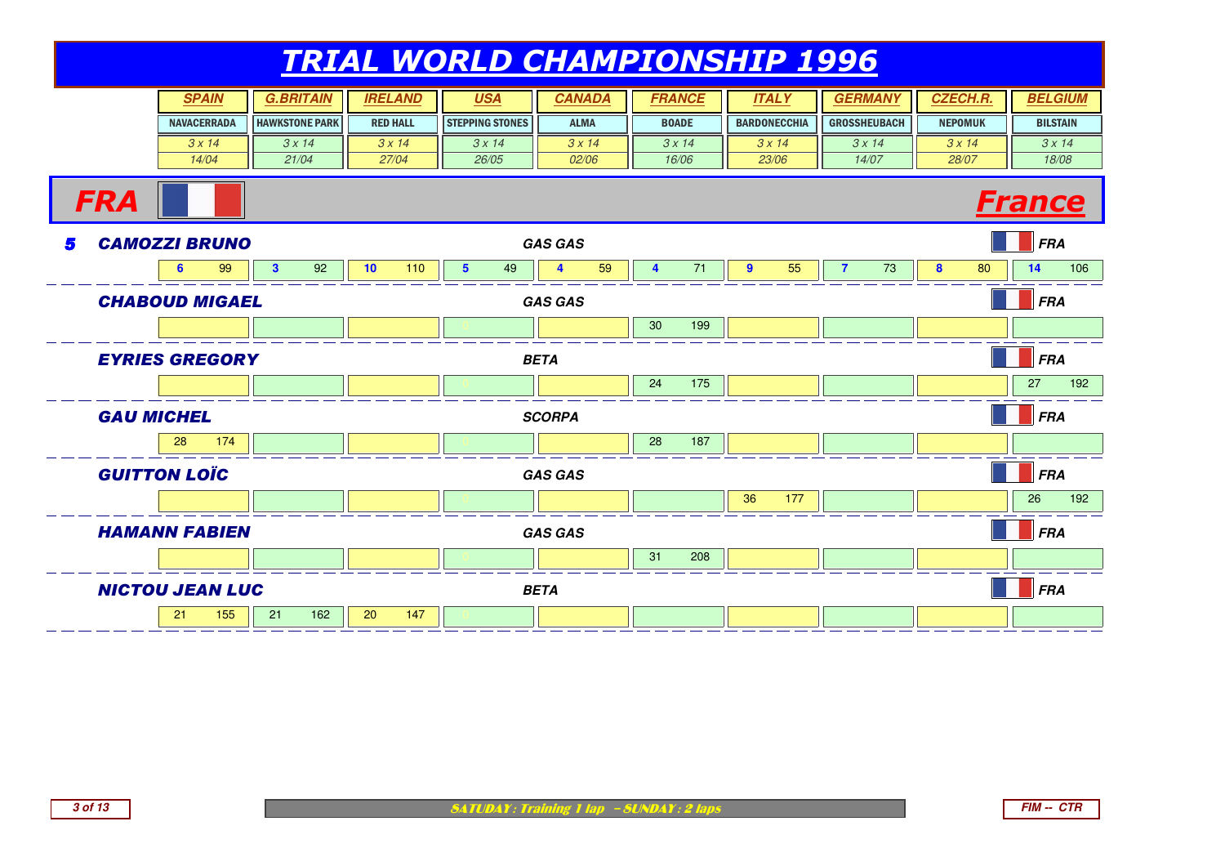|   |                        |                    | <b>SPAIN</b> |                       | <b>G.BRITAIN</b> |    | <b>IRELAND</b>  |                 | <b>USA</b>             |             | <b>CANADA</b>  |    |    | <b>FRANCE</b> |                | <b>ITALY</b>        |                | <b>GERMANY</b>      |   | <b>CZECH.R.</b> |               | <b>BELGIUM</b>  |
|---|------------------------|--------------------|--------------|-----------------------|------------------|----|-----------------|-----------------|------------------------|-------------|----------------|----|----|---------------|----------------|---------------------|----------------|---------------------|---|-----------------|---------------|-----------------|
|   |                        | <b>NAVACERRADA</b> |              | <b>HAWKSTONE PARK</b> |                  |    | <b>RED HALL</b> |                 | <b>STEPPING STONES</b> |             | <b>ALMA</b>    |    |    | <b>BOADE</b>  |                | <b>BARDONECCHIA</b> |                | <b>GROSSHEUBACH</b> |   | <b>NEPOMUK</b>  |               | <b>BILSTAIN</b> |
|   |                        |                    | 3x14         |                       | 3x14             |    | 3x14            |                 | 3x14                   |             | 3x14           |    |    | 3x14          |                | 3x14                |                | 3x14                |   | 3x14            |               | 3x14            |
|   |                        |                    | 14/04        |                       | 21/04            |    | 27/04           |                 | 26/05                  |             | 02/06          |    |    | 16/06         |                | 23/06               |                | 14/07               |   | 28/07           |               | 18/08           |
|   | <b>FRA</b>             |                    |              |                       |                  |    |                 |                 |                        |             |                |    |    |               |                |                     |                |                     |   |                 | <b>France</b> |                 |
| 5 | <b>CAMOZZI BRUNO</b>   |                    |              |                       |                  |    |                 |                 |                        |             | <b>GAS GAS</b> |    |    |               |                |                     |                |                     |   |                 | <b>FRA</b>    |                 |
|   |                        | 6                  | 99           | $\mathbf{3}$          | 92               | 10 | 110             | $5\phantom{.0}$ | 49                     |             | 4              | 59 | 4  | 71            | $\overline{9}$ | 55                  | $\overline{7}$ | 73                  | 8 | 80              | 14            | 106             |
|   | <b>CHABOUD MIGAEL</b>  |                    |              |                       |                  |    |                 |                 |                        |             | <b>GAS GAS</b> |    |    |               |                |                     |                |                     |   |                 | <b>FRA</b>    |                 |
|   |                        |                    |              |                       |                  |    |                 |                 |                        |             |                |    | 30 | 199           |                |                     |                |                     |   |                 |               |                 |
|   | <b>EYRIES GREGORY</b>  |                    | <b>BETA</b>  |                       |                  |    |                 |                 |                        |             |                |    |    | <b>FRA</b>    |                |                     |                |                     |   |                 |               |                 |
|   |                        |                    |              |                       |                  |    |                 |                 |                        |             |                |    | 24 | 175           |                |                     |                |                     |   |                 | 27            | 192             |
|   | <b>GAU MICHEL</b>      |                    |              | <b>SCORPA</b>         |                  |    |                 |                 |                        |             |                |    |    | <b>FRA</b>    |                |                     |                |                     |   |                 |               |                 |
|   |                        | 28                 | 174          |                       |                  |    |                 |                 |                        |             |                |    | 28 | 187           |                |                     |                |                     |   |                 |               |                 |
|   | <b>GUITTON LOÏC</b>    |                    |              |                       |                  |    |                 |                 |                        |             | <b>GAS GAS</b> |    |    |               |                |                     |                |                     |   |                 | <b>FRA</b>    |                 |
|   |                        |                    |              |                       |                  |    |                 |                 |                        |             |                |    |    |               | 36             | 177                 |                |                     |   |                 | 26            | 192             |
|   | <b>HAMANN FABIEN</b>   |                    |              |                       |                  |    |                 |                 |                        |             | <b>GAS GAS</b> |    |    |               |                |                     |                |                     |   |                 | <b>FRA</b>    |                 |
|   |                        |                    |              |                       |                  |    |                 |                 |                        |             |                |    | 31 | 208           |                |                     |                |                     |   |                 |               |                 |
|   | <b>NICTOU JEAN LUC</b> |                    |              |                       |                  |    |                 |                 |                        | <b>BETA</b> |                |    |    |               |                |                     |                |                     |   |                 | <b>FRA</b>    |                 |
|   |                        | 21                 | 155          | 21                    | 162              | 20 | 147             |                 |                        |             |                |    |    |               |                |                     |                |                     |   |                 |               |                 |

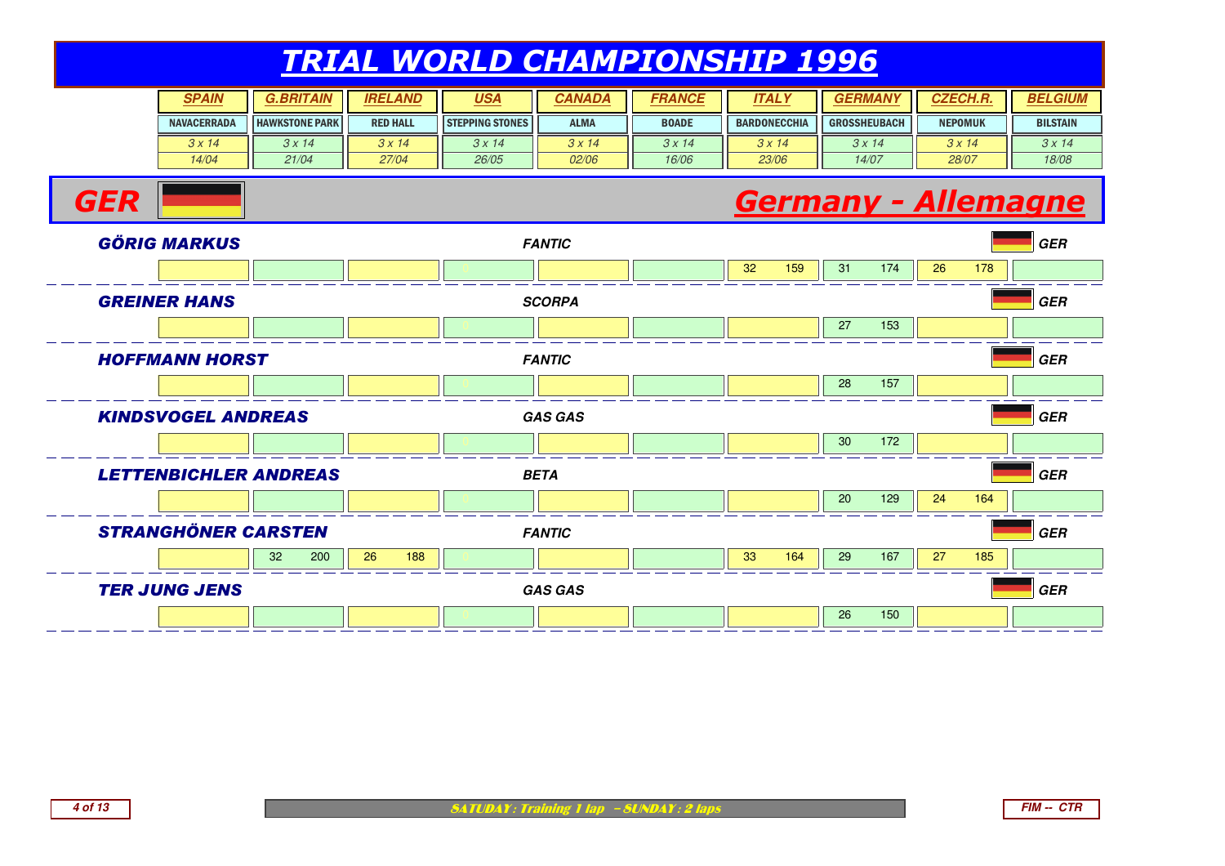| <b>SPAIN</b>       | <b>BRITAIN</b>        | <b>IRELAND</b>  | <u>USA</u>             | CANADA       | <i><b>FRANCE</b></i> | ITAL Y              | <b>GERMAN</b>       | <b>CZECH.R.</b> | <b>BELGIUM</b>  |
|--------------------|-----------------------|-----------------|------------------------|--------------|----------------------|---------------------|---------------------|-----------------|-----------------|
| <b>NAVACERRADA</b> | <b>HAWKSTONE PARK</b> | <b>RED HALL</b> | <b>STEPPING STONES</b> | <b>ALMA</b>  | <b>BOADE</b>         | <b>BARDONECCHIA</b> | <b>GROSSHEUBACH</b> | <b>NEPOMUK</b>  | <b>BILSTAIN</b> |
| 3x14               | 3x14                  | 3x14            | 3 x 14                 | 3x14         | 3x14                 | 3x14                | 3x14                | $3 \times 14$   | 3x14            |
| 14/04              | 21/04                 | 27/04           | 26/05                  | <i>02/06</i> | 16/06                | 23/06               | 14/07               | 28/07           | 18/08           |

#### Germany - Allemagne



**GER**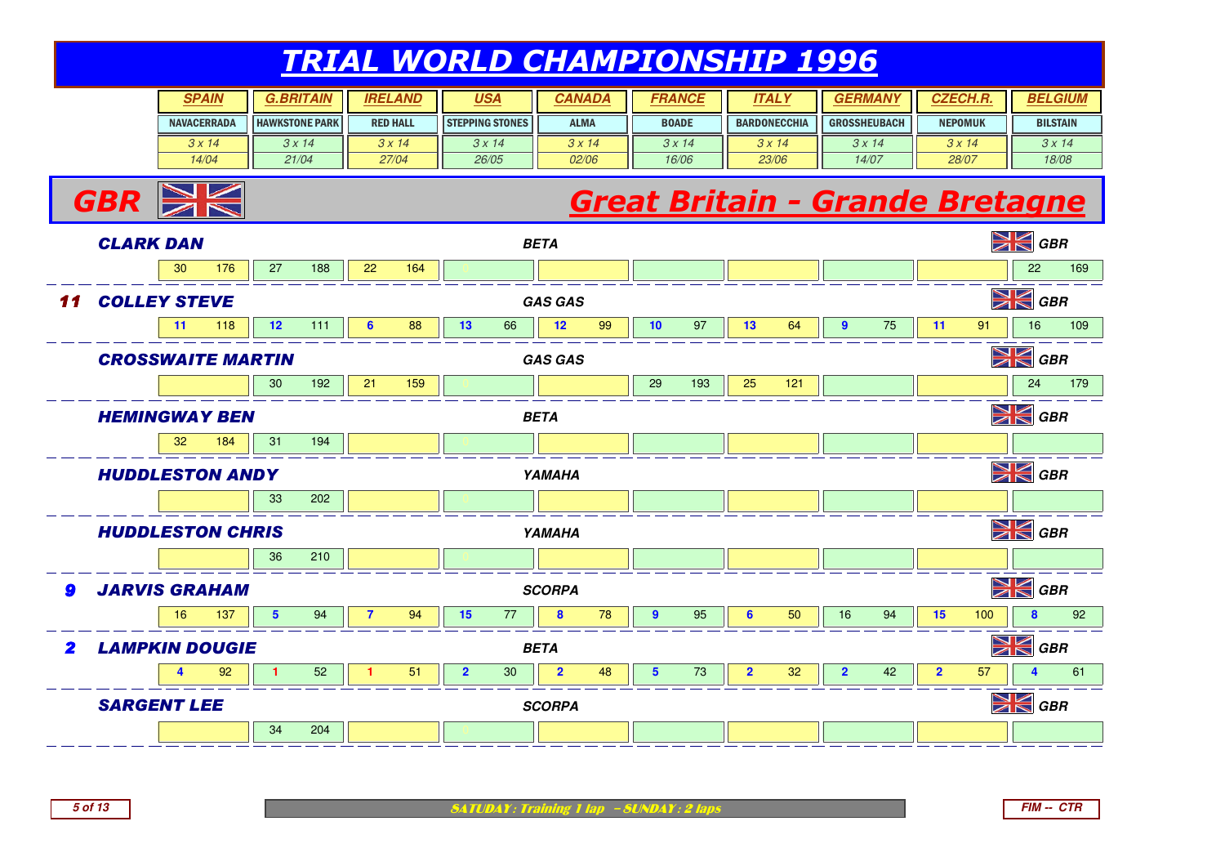| <b>SPAIN</b>       | <b>.BRITAIN</b>       | <b>IRELAND</b>  | <u>USA</u>             | <b>CANADA</b> | FRANCE        | ITAL'               | GERMAN              | <b>CZECH.R.</b> | <b>BELGIUM</b>  |
|--------------------|-----------------------|-----------------|------------------------|---------------|---------------|---------------------|---------------------|-----------------|-----------------|
| <b>NAVACERRADA</b> | <b>HAWKSTONE PARK</b> | <b>RED HALL</b> | <b>STEPPING STONES</b> | <b>ALMA</b>   | <b>BOADE</b>  | <b>BARDONECCHIA</b> | <b>GROSSHEUBACH</b> | <b>NEPOMUK</b>  | <b>BILSTAIN</b> |
| 3x14               | 3x14                  | 3x14            | 3 x 14                 | 3x14          | $3 \times 14$ | 3 x 14              | 3x14                | $3 \times 14$   | 3x14            |
| 14/04              | 21/04                 | 27/04           | 26/05                  | 02/06         | 16/06         | 23/06               | 14/07               | 28/07           | 18/08           |

# **Great Britain - Grande Bretagne**



**5 of 13**

 $GBR \geq$ 

**SATUDAY: Training 1 lap - SUNDAY: 2 laps**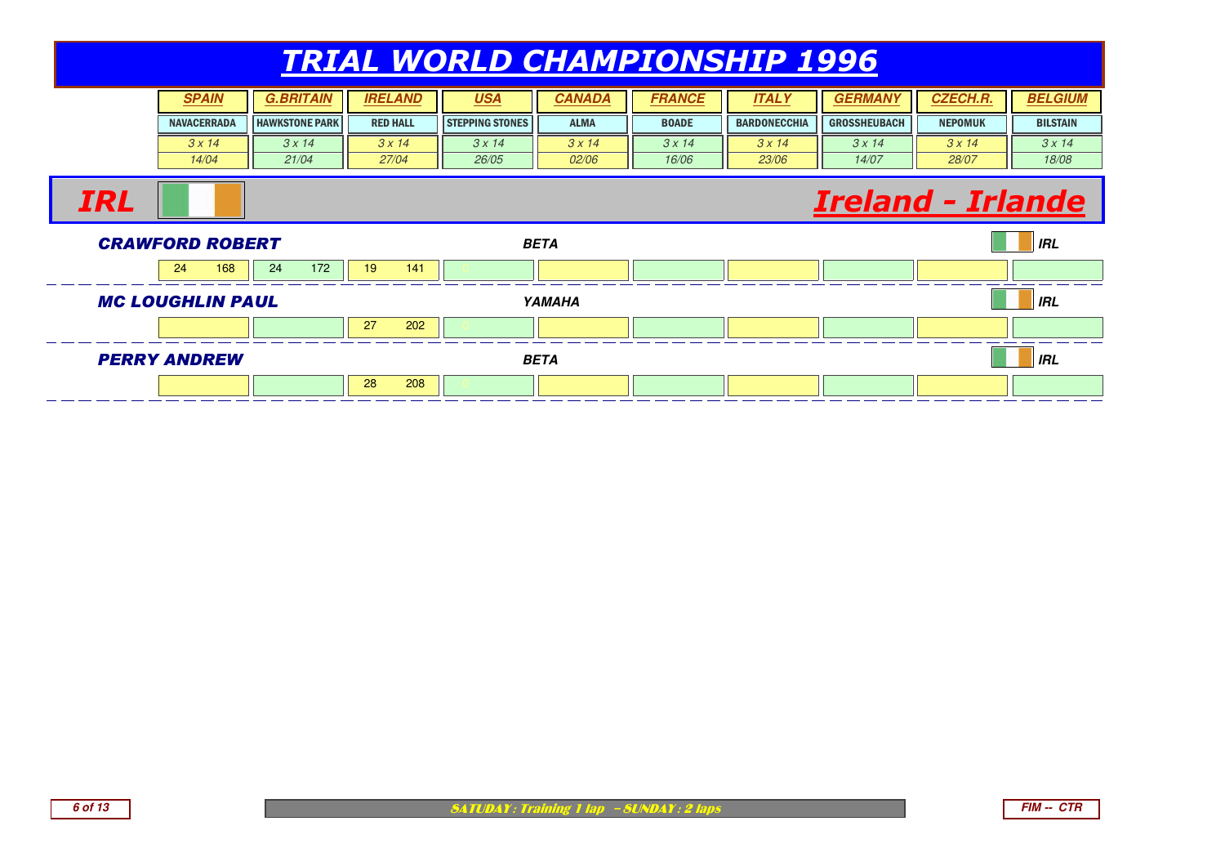| <b>SPAIN</b>       | G.BRITAIN             | <b>IRELAND</b>  | <u>USA</u>             | CANADA        | <b>FRANCE</b> | ITAL Y              | <b>GERMAI</b>       | <i><b>CZECH.R.</b></i> | <b>BELGIUM</b>  |
|--------------------|-----------------------|-----------------|------------------------|---------------|---------------|---------------------|---------------------|------------------------|-----------------|
| <b>NAVACERRADA</b> | <b>HAWKSTONE PARK</b> | <b>RED HALL</b> | <b>STEPPING STONES</b> | <b>ALMA</b>   | <b>BOADE</b>  | <b>BARDONECCHIA</b> | <b>GROSSHEUBACH</b> | <b>NEPOMUK</b>         | <b>BILSTAIN</b> |
| 3x14               | 3x14                  | 3x14            | 3 x 14                 | $3 \times 14$ | 3x14          | 3x14                | 3x14                | 3 x 14                 | 3x14            |
| 14/04              | 21/04                 | 27/04           | 26/05                  | <i>02/06</i>  | 16/06         | 23/06               | 14/07               | 28/07                  | 18/08           |

#### Ireland - Irlande



IRL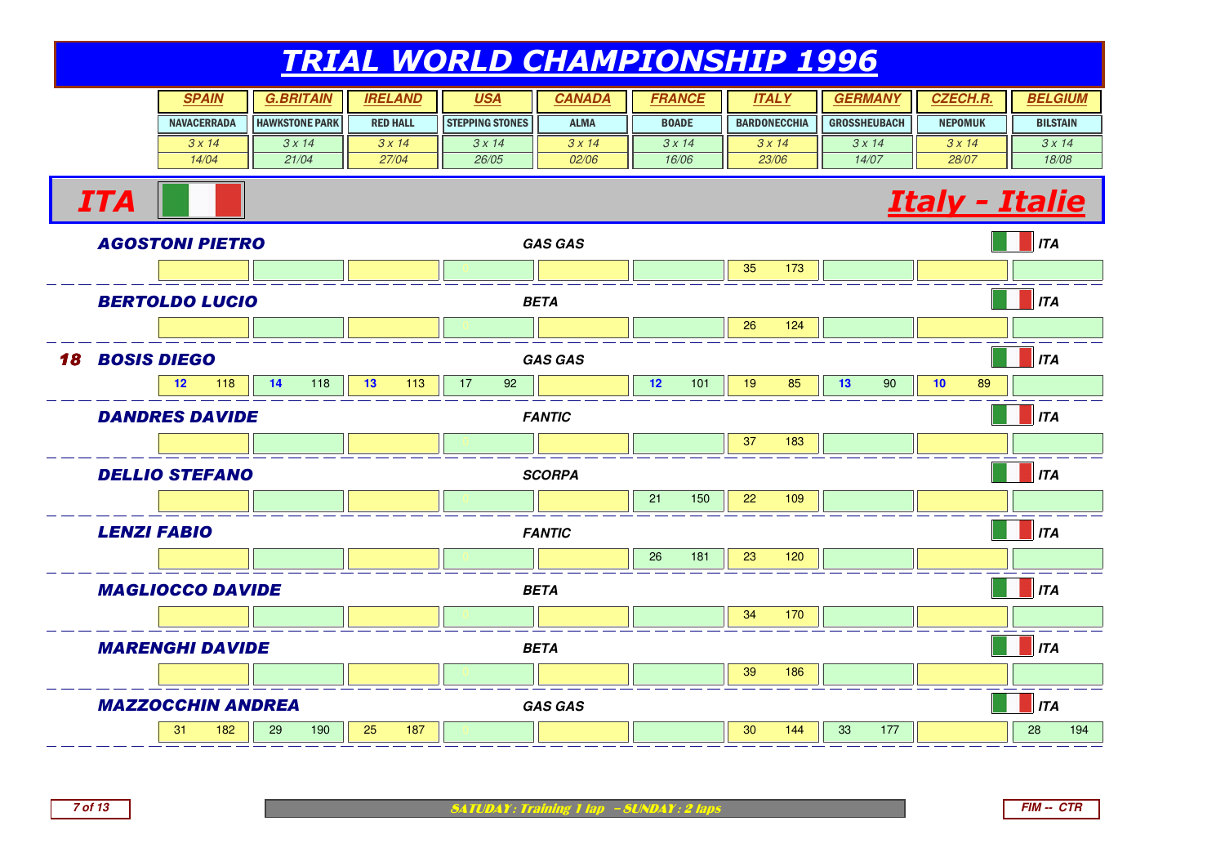| SPAIN              | <b>BRITAIN</b>        | <b>IRELAND</b>  | <u>USA</u>             | CANADA       | <i><b>FRANCE</b></i> | <b>ITAL</b>         |                     | <i><b>CZECH.R</b></i> | <b>BELGIUM</b>  |
|--------------------|-----------------------|-----------------|------------------------|--------------|----------------------|---------------------|---------------------|-----------------------|-----------------|
| <b>NAVACERRADA</b> | <b>HAWKSTONE PARK</b> | <b>RED HALL</b> | <b>STEPPING STONES</b> | <b>ALMA</b>  | <b>BOADE</b>         | <b>BARDONECCHIA</b> | <b>GROSSHEUBACH</b> | <b>NEPOMUK</b>        | <b>BILSTAIN</b> |
| 3 x 14             | $3 \times 14$         | 3x14            | $3 \times 14$          | 3x14         | 3 x 14               | $3 \times 14$       | 3 x 14              | 3 x 14                | 3x14            |
| 14/04              | 21/04                 | 27/04           | 26/05                  | <i>02/06</i> | 16/06                | 23/06               | 14/07               | 28/07                 | 18/08           |



MARENGHI DAVIDE **BETA ITA** <sup>0</sup> <sup>0</sup> <sup>0</sup> <sup>0</sup> <sup>0</sup> <sup>39</sup> <sup>186</sup> <sup>0</sup> <sup>0</sup> <sup>0</sup> MAZZOCCHIN ANDREA **GAS GAS ITA** 311 182 | 29 190 | 25 187 | 0 | | | 30 144 | 33 177 || | 28 194

SATUDAY: Training 1 lap - SUNDAY: 2 laps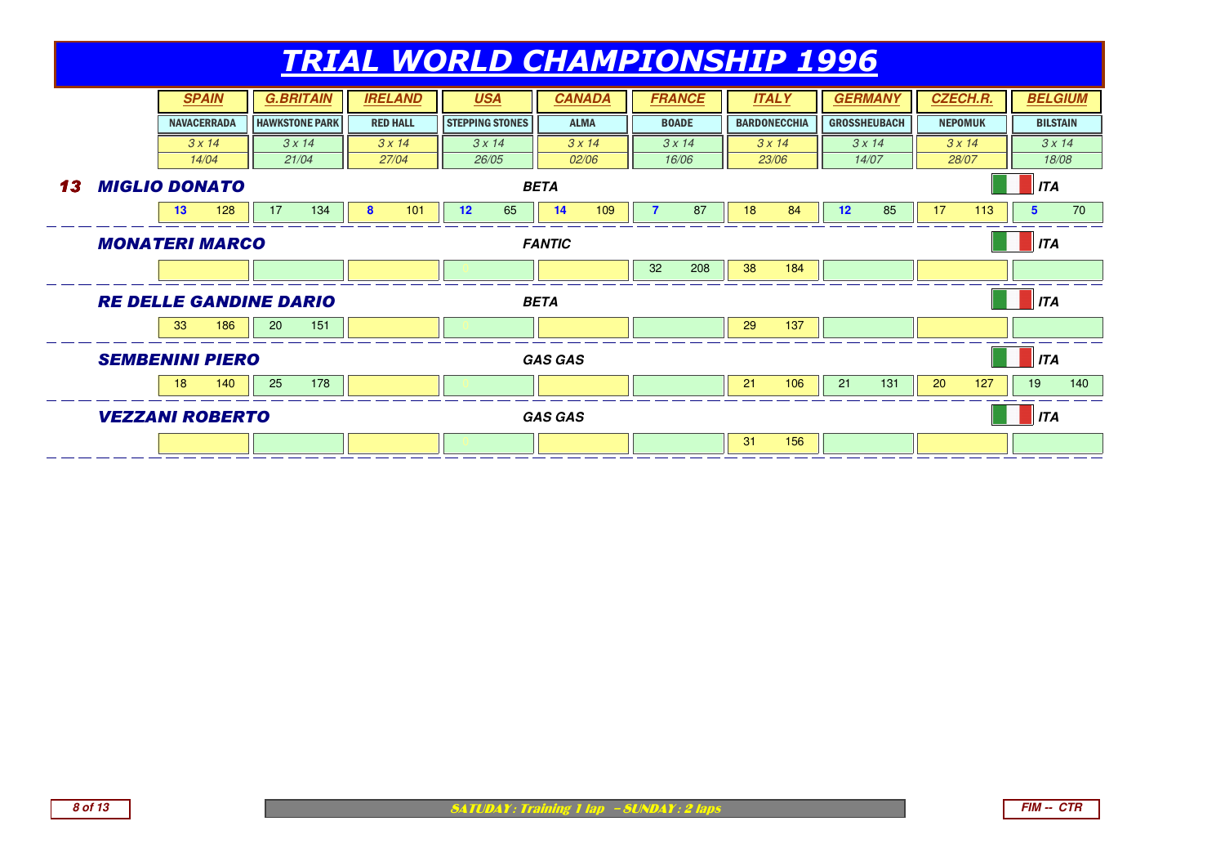|    |                               |                    | <b>SPAIN</b> |                 | <b>G.BRITAIN</b>      |   | <b>IRELAND</b>  |             | <b>USA</b>             | <b>CANADA</b>  |       |    | <b>FRANCE</b> |    | <b>ITALY</b>        |                 | <b>GERMANY</b>      |                 | <b>CZECH.R.</b> |                 | <b>BELGIUM</b> |
|----|-------------------------------|--------------------|--------------|-----------------|-----------------------|---|-----------------|-------------|------------------------|----------------|-------|----|---------------|----|---------------------|-----------------|---------------------|-----------------|-----------------|-----------------|----------------|
|    |                               | <b>NAVACERRADA</b> |              |                 | <b>HAWKSTONE PARK</b> |   | <b>RED HALL</b> |             | <b>STEPPING STONES</b> | <b>ALMA</b>    |       |    | <b>BOADE</b>  |    | <b>BARDONECCHIA</b> |                 | <b>GROSSHEUBACH</b> |                 | <b>NEPOMUK</b>  | <b>BILSTAIN</b> |                |
|    |                               |                    | 3x14         |                 | 3x14                  |   | 3x14            |             | 3x14                   | 3x14           |       |    | 3x14          |    | 3x14                |                 | 3x14                |                 | 3x14            |                 | 3x14           |
|    |                               |                    | 14/04        |                 | 21/04                 |   | 27/04           |             | 26/05                  |                | 02/06 |    | 16/06         |    | 23/06               |                 | 14/07               |                 | 28/07           |                 | 18/08          |
| 13 | <b>MIGLIO DONATO</b>          |                    |              |                 |                       |   |                 |             |                        | <b>BETA</b>    |       |    |               |    |                     |                 |                     |                 |                 | ITA             |                |
|    |                               | 13 <sup>°</sup>    | 128          | 17              | 134                   | 8 | 101             | 12          | 65                     | 14             | 109   |    | 87            | 18 | 84                  | 12 <sup>2</sup> | 85                  | 17              | 113             | 5               | 70             |
|    | <b>MONATERI MARCO</b>         |                    |              |                 |                       |   |                 |             |                        | <b>FANTIC</b>  |       |    |               |    |                     |                 |                     |                 |                 | ITA             |                |
|    |                               |                    |              |                 |                       |   |                 |             |                        |                |       | 32 | 208           | 38 | 184                 |                 |                     |                 |                 |                 |                |
|    | <b>RE DELLE GANDINE DARIO</b> |                    |              |                 |                       |   |                 | <b>BETA</b> |                        |                |       |    |               |    |                     |                 |                     | $\parallel$ ITA |                 |                 |                |
|    |                               | 33                 | 186          | 20 <sub>l</sub> | 151                   |   |                 |             |                        |                |       |    |               | 29 | 137                 |                 |                     |                 |                 |                 |                |
|    | <b>SEMBENINI PIERO</b>        |                    |              |                 |                       |   |                 |             |                        | <b>GAS GAS</b> |       |    |               |    |                     |                 |                     |                 |                 | <b>ITA</b>      |                |
|    |                               | 18                 | 140          | 25              | 178                   |   |                 |             |                        |                |       |    |               | 21 | 106                 | 21              | 131                 | 20              | 127             | 19              | 140            |
|    | <b>VEZZANI ROBERTO</b>        |                    |              |                 |                       |   |                 |             |                        | <b>GAS GAS</b> |       |    |               |    |                     |                 |                     |                 |                 | $\parallel$ ITA |                |
|    |                               |                    |              |                 |                       |   |                 |             |                        |                |       |    |               | 31 | 156                 |                 |                     |                 |                 |                 |                |

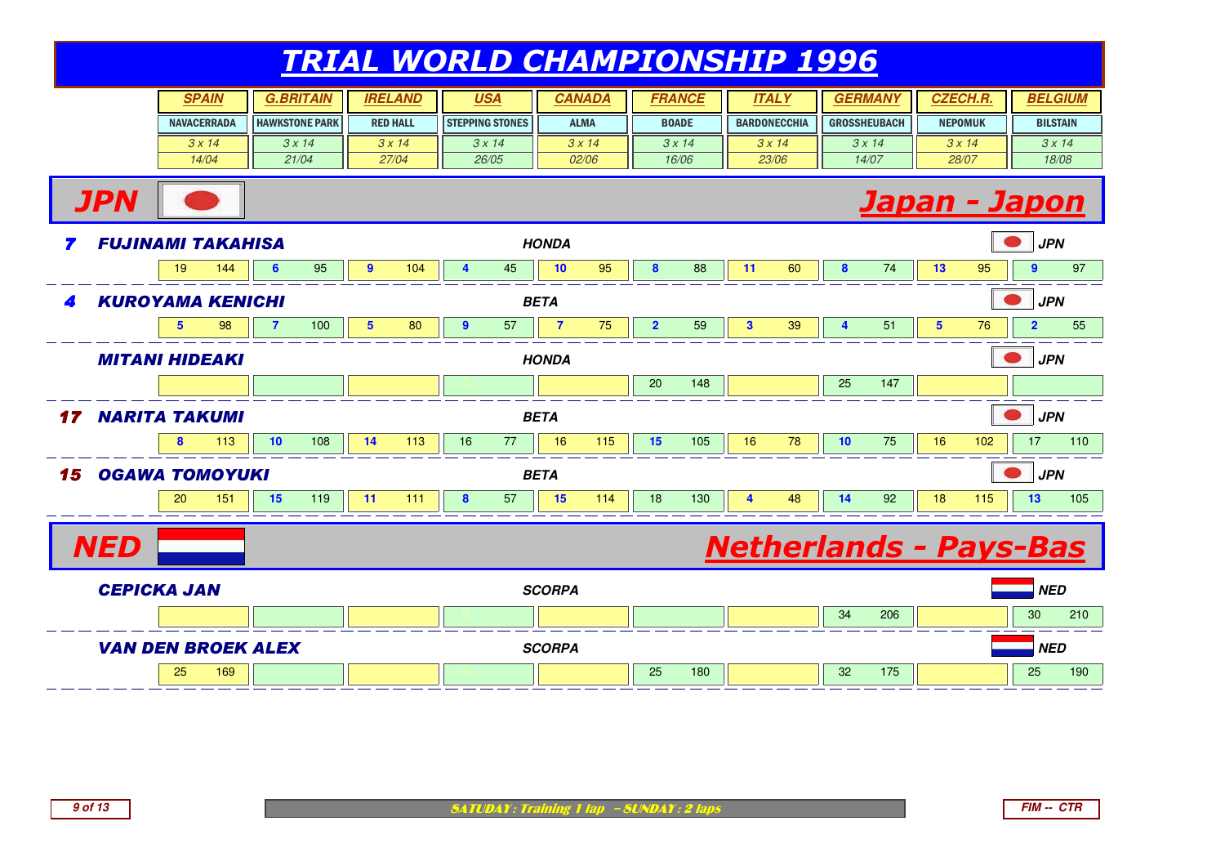|    |                                                                                                                                                                                                                                                                                                                                                                                                                                                                                                                                                           |    | <b>SPAIN</b>       |   | <b>G.BRITAIN</b>      |                | <b>IRELAND</b>  | <b>USA</b>             |       |               | <b>CANADA</b> |    | <b>FRANCE</b> |    | <b>ITALY</b>        |            | <b>GERMANY</b>      |    | <b>CZECH.R.</b> |                | <b>BELGIUM</b>  |
|----|-----------------------------------------------------------------------------------------------------------------------------------------------------------------------------------------------------------------------------------------------------------------------------------------------------------------------------------------------------------------------------------------------------------------------------------------------------------------------------------------------------------------------------------------------------------|----|--------------------|---|-----------------------|----------------|-----------------|------------------------|-------|---------------|---------------|----|---------------|----|---------------------|------------|---------------------|----|-----------------|----------------|-----------------|
|    |                                                                                                                                                                                                                                                                                                                                                                                                                                                                                                                                                           |    | <b>NAVACERRADA</b> |   | <b>HAWKSTONE PARK</b> |                | <b>RED HALL</b> | <b>STEPPING STONES</b> |       |               | <b>ALMA</b>   |    | <b>BOADE</b>  |    | <b>BARDONECCHIA</b> |            | <b>GROSSHEUBACH</b> |    | <b>NEPOMUK</b>  |                | <b>BILSTAIN</b> |
|    |                                                                                                                                                                                                                                                                                                                                                                                                                                                                                                                                                           |    | 3x14               |   | 3x14                  |                | 3x14            | 3x14                   |       |               | 3x14          |    | 3x14          |    | 3x14                |            | 3x14                |    | 3x14            |                | 3x14            |
|    |                                                                                                                                                                                                                                                                                                                                                                                                                                                                                                                                                           |    | 14/04              |   | 21/04                 |                | 27/04           |                        | 26/05 |               | 02/06         |    | 16/06         |    | 23/06               |            | 14/07               |    | 28/07           |                | 18/08           |
|    |                                                                                                                                                                                                                                                                                                                                                                                                                                                                                                                                                           |    |                    |   |                       |                |                 |                        |       |               |               |    |               |    |                     |            |                     |    |                 |                |                 |
| 7  |                                                                                                                                                                                                                                                                                                                                                                                                                                                                                                                                                           |    |                    |   |                       |                |                 |                        |       |               |               |    |               |    |                     |            |                     |    |                 | <b>JPN</b>     |                 |
|    |                                                                                                                                                                                                                                                                                                                                                                                                                                                                                                                                                           | 19 | 144                | 6 | 95                    | $\overline{9}$ | 104             | $\overline{4}$         | 45    | 10            | 95            | 8  | 88            | 11 | 60                  | 8          | 74                  | 13 | 95              | 9              | 97              |
| 4  | <b>JPN</b><br>Japan - Japon<br><b>FUJINAMI TAKAHISA</b><br><b>HONDA</b><br><b>KUROYAMA KENICHI</b><br><b>BETA</b><br>100<br>$5\phantom{1}$<br>80<br>57<br>$\overline{7}$<br>75<br>$\overline{2}$<br>59<br>39<br>51<br>5<br>98<br>$\overline{7}$<br>$\overline{9}$<br>$\mathbf{3}$<br>$\overline{\mathbf{4}}$<br>$5\phantom{.0}$<br>76<br><b>MITANI HIDEAKI</b><br><b>HONDA</b><br>147<br>20<br>148<br>25<br><b>NARITA TAKUMI</b><br><b>BETA</b><br>75<br>10<br>108<br>113<br>16<br>77<br>16<br>115<br>15<br>105<br>16<br>78<br>10<br>113<br>14<br>16<br>8 |    |                    |   |                       |                |                 |                        |       |               |               |    |               |    |                     | <b>JPN</b> |                     |    |                 |                |                 |
|    |                                                                                                                                                                                                                                                                                                                                                                                                                                                                                                                                                           |    |                    |   |                       |                |                 |                        |       |               |               |    |               |    |                     |            |                     |    |                 | $\overline{2}$ | 55              |
|    | 102<br><b>OGAWA TOMOYUKI</b><br><b>BETA</b><br>57<br>15<br>130<br>151<br>15<br>119<br>111<br>8<br>114<br>18<br>14<br>92<br>18<br>115<br>20<br>11<br>48<br>4<br><b>NED</b><br><b>Netherlands - Pays-Bas</b>                                                                                                                                                                                                                                                                                                                                                |    |                    |   |                       |                |                 |                        |       |               |               |    |               |    |                     | <b>JPN</b> |                     |    |                 |                |                 |
|    |                                                                                                                                                                                                                                                                                                                                                                                                                                                                                                                                                           |    |                    |   |                       |                |                 |                        |       |               |               |    |               |    |                     |            |                     |    |                 |                |                 |
| 17 |                                                                                                                                                                                                                                                                                                                                                                                                                                                                                                                                                           |    |                    |   |                       |                |                 |                        |       |               |               |    |               |    |                     | <b>JPN</b> |                     |    |                 |                |                 |
|    |                                                                                                                                                                                                                                                                                                                                                                                                                                                                                                                                                           |    |                    |   |                       |                |                 |                        |       |               |               |    |               |    |                     | 17         | 110                 |    |                 |                |                 |
| 15 |                                                                                                                                                                                                                                                                                                                                                                                                                                                                                                                                                           |    |                    |   |                       |                |                 |                        |       |               |               |    |               |    |                     | <b>JPN</b> |                     |    |                 |                |                 |
|    |                                                                                                                                                                                                                                                                                                                                                                                                                                                                                                                                                           |    |                    |   |                       |                |                 |                        |       |               |               |    |               |    |                     |            |                     |    |                 | 13             | 105             |
|    |                                                                                                                                                                                                                                                                                                                                                                                                                                                                                                                                                           |    |                    |   |                       |                |                 |                        |       |               |               |    |               |    |                     |            |                     |    |                 |                |                 |
|    |                                                                                                                                                                                                                                                                                                                                                                                                                                                                                                                                                           |    |                    |   |                       |                |                 |                        |       |               |               |    |               |    |                     |            |                     |    |                 |                |                 |
|    | <b>CEPICKA JAN</b>                                                                                                                                                                                                                                                                                                                                                                                                                                                                                                                                        |    |                    |   |                       |                |                 |                        |       | <b>SCORPA</b> |               |    |               |    |                     |            |                     |    |                 | <b>NED</b>     |                 |
|    |                                                                                                                                                                                                                                                                                                                                                                                                                                                                                                                                                           |    |                    |   |                       |                |                 |                        |       |               |               |    |               |    |                     | 34         | 206                 |    |                 | 30             | 210             |
|    | <b>VAN DEN BROEK ALEX</b>                                                                                                                                                                                                                                                                                                                                                                                                                                                                                                                                 |    |                    |   |                       |                |                 |                        |       | <b>SCORPA</b> |               |    |               |    |                     |            |                     |    |                 | <b>NED</b>     |                 |
|    |                                                                                                                                                                                                                                                                                                                                                                                                                                                                                                                                                           | 25 | 169                |   |                       |                |                 |                        |       |               |               | 25 | 180           |    |                     | 32         | 175                 |    |                 | 25             | 190             |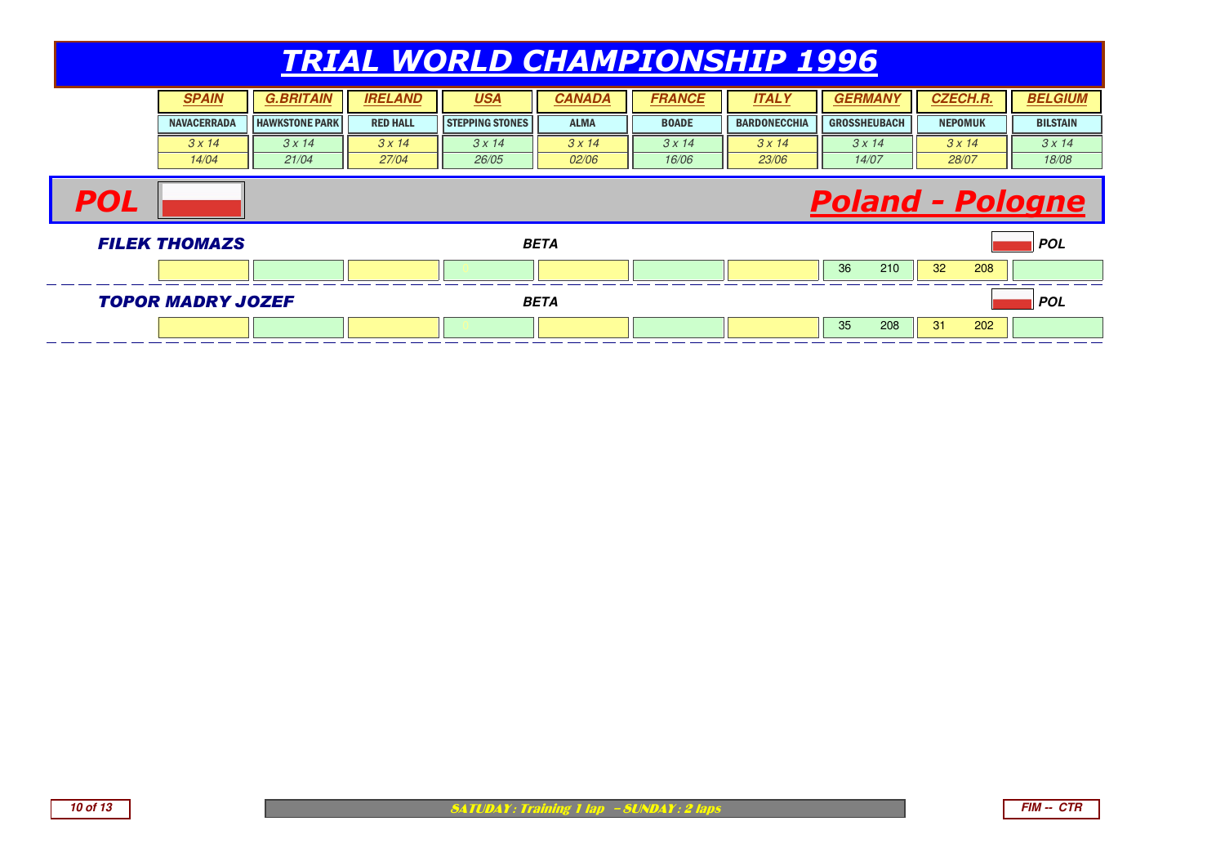| <b>SPAIN</b>       | .BRIT                 | <b>IRELAND</b>  | <u>USA</u>             | CANADA        | FRANCE       | <b>ITALY</b>        | <b>GERMA<sub>I</sub></b> | <b>CZECH.R.</b> | <b>BELGIUM</b>  |
|--------------------|-----------------------|-----------------|------------------------|---------------|--------------|---------------------|--------------------------|-----------------|-----------------|
| <b>NAVACERRADA</b> | <b>HAWKSTONE PARK</b> | <b>RED HALL</b> | <b>STEPPING STONES</b> | <b>ALMA</b>   | <b>BOADE</b> | <b>BARDONECCHIA</b> | <b>GROSSHEUBACH</b>      | <b>NEPOMUK</b>  | <b>BILSTAIN</b> |
| $3 \times 14$      | 3x14                  | 3 x 14          | 3 x 14                 | $3 \times 14$ | 3 x 14       | 3x14                | 3 x 14                   | 3 x 14          | 3x14            |
| 14/04              | 21/04                 | 27/04           | 26/05                  | 02/06         | 16/06        | 23/06               | 14/07                    | 28/07           | 18/08           |

#### Poland - Pologne





**POL**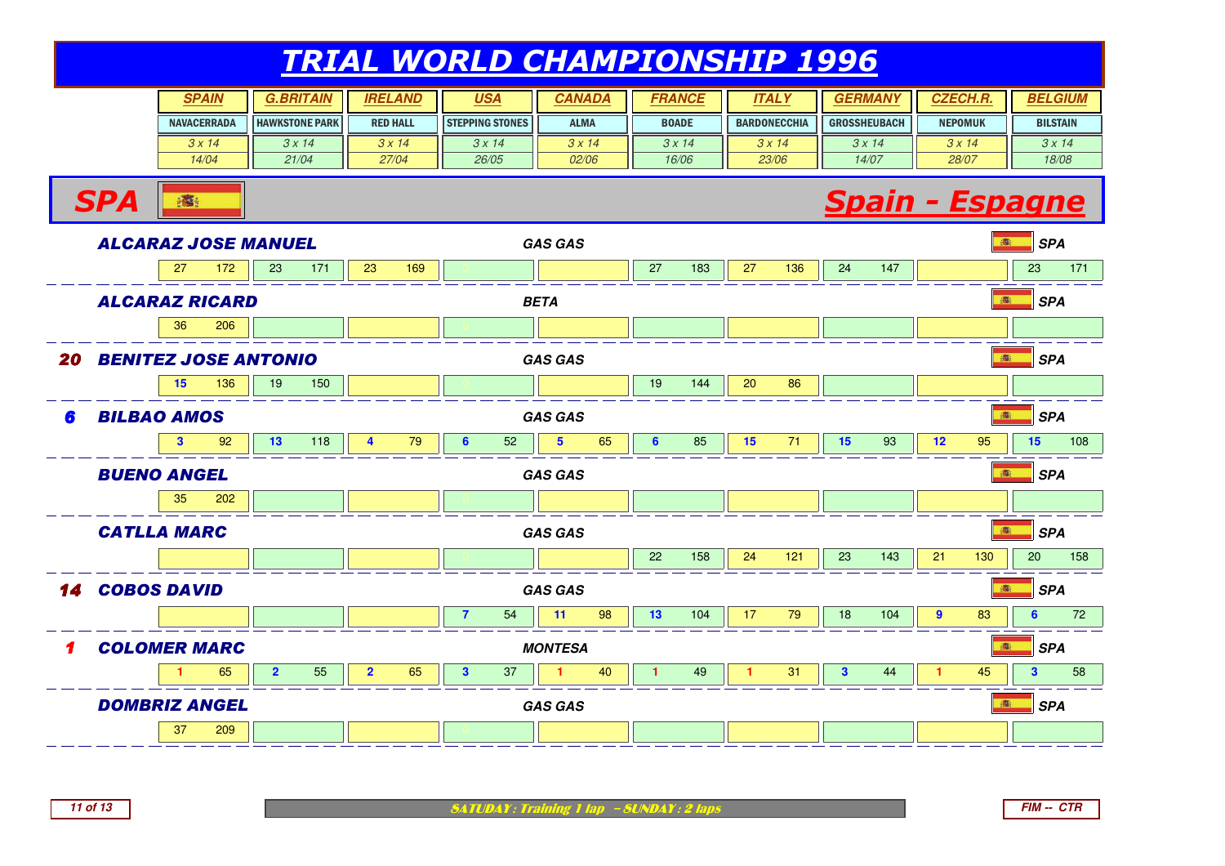| <b>SPAIN</b>       | <b>G.BRITAIN</b>      | <b>IRELAND</b>  | <u>USA</u>             | CANADA       | FRANCE       | <b>ITAL</b>         | <b>GERMA</b>        | <b>CZECH.R.</b> | <b>BELGIUM</b>  |
|--------------------|-----------------------|-----------------|------------------------|--------------|--------------|---------------------|---------------------|-----------------|-----------------|
| <b>NAVACERRADA</b> | <b>HAWKSTONE PARK</b> | <b>RED HALL</b> | <b>STEPPING STONES</b> | <b>ALMA</b>  | <b>BOADE</b> | <b>BARDONECCHIA</b> | <b>GROSSHEUBACH</b> | <b>NEPOMUK</b>  | <b>BILSTAIN</b> |
| 3 x 14             | 3 x 14                | 3 x 14          | $3 \times 14$          | 3x14         | 3 x 14       | $3 \times 14$       | 3x14                | $3 \times 14$   | 3x14            |
| 14/04              | 21/04                 | 27/04           | 26/05                  | <i>02/06</i> | 16/06        | 23/06               | 14/07               | 28/07           | 18/08           |



**SPA** 

**SATUDAY: Training 1 lap - SUNDAY: 2 laps**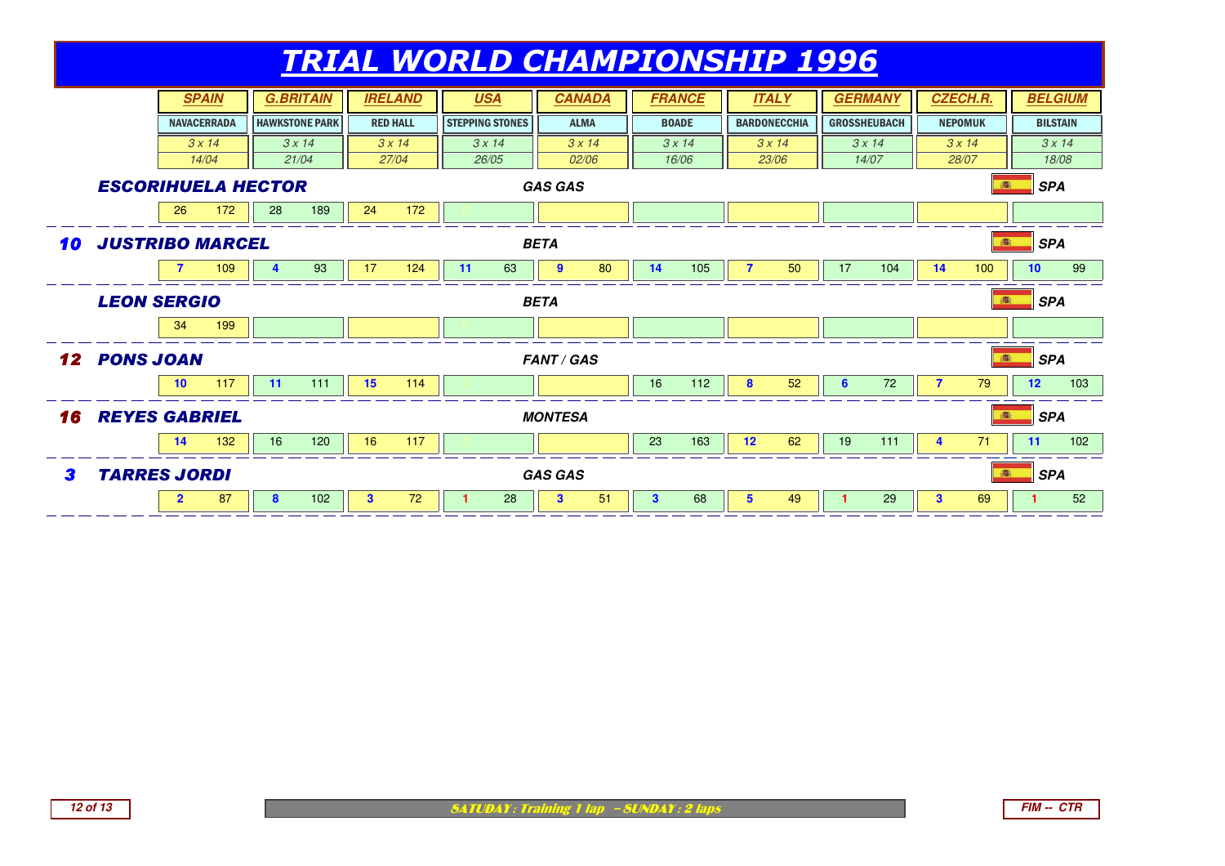